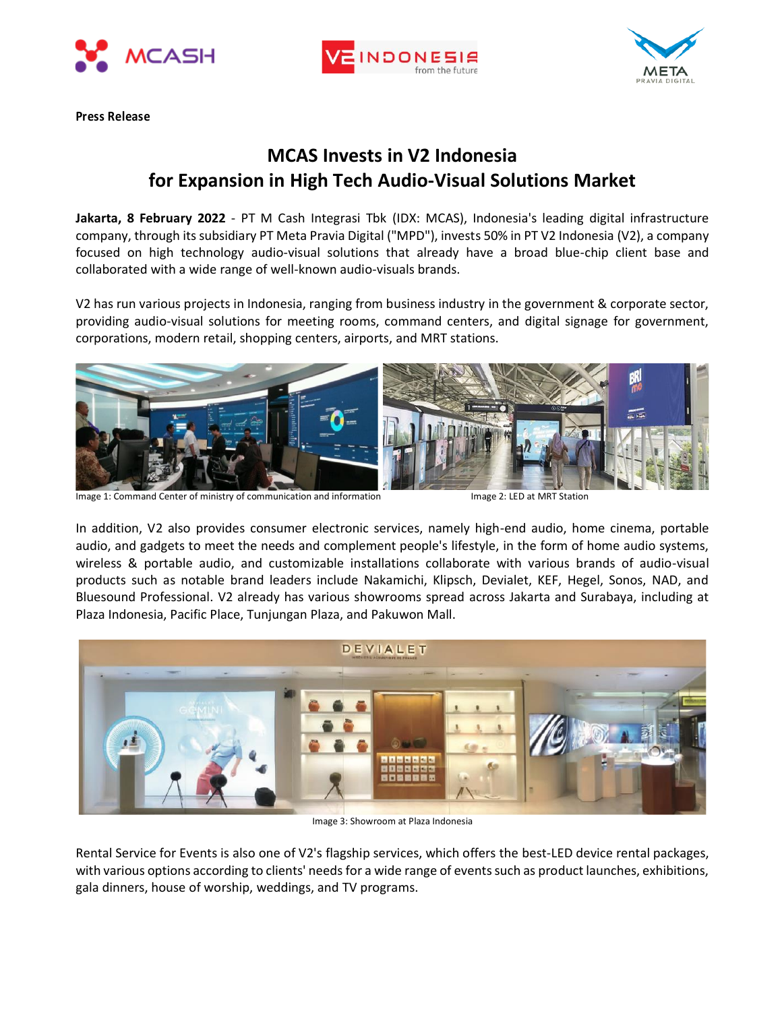





**Press Release**

## **MCAS Invests in V2 Indonesia for Expansion in High Tech Audio-Visual Solutions Market**

**Jakarta, 8 February 2022** - PT M Cash Integrasi Tbk (IDX: MCAS), Indonesia's leading digital infrastructure company, through its subsidiary PT Meta Pravia Digital ("MPD"), invests 50% in PT V2 Indonesia (V2), a company focused on high technology audio-visual solutions that already have a broad blue-chip client base and collaborated with a wide range of well-known audio-visuals brands.

V2 has run various projects in Indonesia, ranging from business industry in the government & corporate sector, providing audio-visual solutions for meeting rooms, command centers, and digital signage for government, corporations, modern retail, shopping centers, airports, and MRT stations.



Image 1: Command Center of ministry of communication and information Independent Command 2: LED at MRT Station

In addition, V2 also provides consumer electronic services, namely high-end audio, home cinema, portable audio, and gadgets to meet the needs and complement people's lifestyle, in the form of home audio systems, wireless & portable audio, and customizable installations collaborate with various brands of audio-visual products such as notable brand leaders include Nakamichi, Klipsch, Devialet, KEF, Hegel, Sonos, NAD, and Bluesound Professional. V2 already has various showrooms spread across Jakarta and Surabaya, including at Plaza Indonesia, Pacific Place, Tunjungan Plaza, and Pakuwon Mall.



Image 3: Showroom at Plaza Indonesia

Rental Service for Events is also one of V2's flagship services, which offers the best-LED device rental packages, with various options according to clients' needs for a wide range of events such as product launches, exhibitions, gala dinners, house of worship, weddings, and TV programs.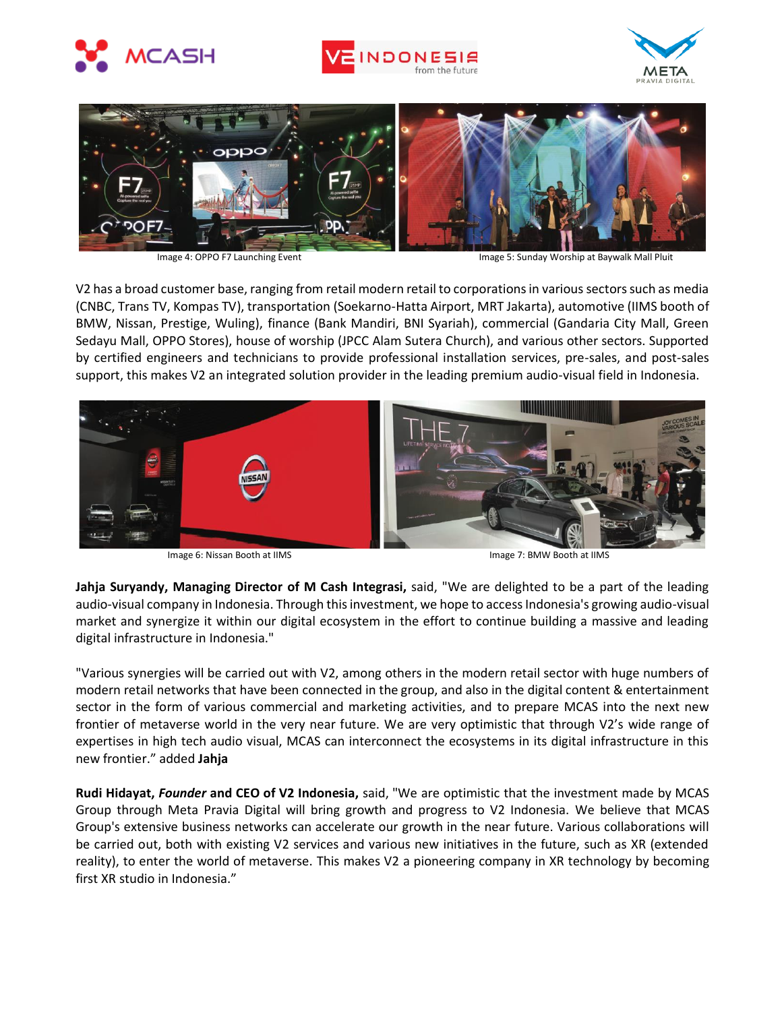







Image 4: OPPO F7 Launching Event **Image 5: Sunday Worship at Baywalk Mall Pluit** 

V2 has a broad customer base, ranging from retail modern retail to corporations in various sectors such as media (CNBC, Trans TV, Kompas TV), transportation (Soekarno-Hatta Airport, MRT Jakarta), automotive (IIMS booth of BMW, Nissan, Prestige, Wuling), finance (Bank Mandiri, BNI Syariah), commercial (Gandaria City Mall, Green Sedayu Mall, OPPO Stores), house of worship (JPCC Alam Sutera Church), and various other sectors. Supported by certified engineers and technicians to provide professional installation services, pre-sales, and post-sales support, this makes V2 an integrated solution provider in the leading premium audio-visual field in Indonesia.



Image 6: Nissan Booth at IIMS **Image 7: BMW Booth at IIMS** 

**Jahja Suryandy, Managing Director of M Cash Integrasi,** said, "We are delighted to be a part of the leading audio-visual company in Indonesia. Through this investment, we hope to access Indonesia's growing audio-visual market and synergize it within our digital ecosystem in the effort to continue building a massive and leading digital infrastructure in Indonesia."

"Various synergies will be carried out with V2, among others in the modern retail sector with huge numbers of modern retail networks that have been connected in the group, and also in the digital content & entertainment sector in the form of various commercial and marketing activities, and to prepare MCAS into the next new frontier of metaverse world in the very near future. We are very optimistic that through V2's wide range of expertises in high tech audio visual, MCAS can interconnect the ecosystems in its digital infrastructure in this new frontier." added **Jahja**

**Rudi Hidayat,** *Founder* **and CEO of V2 Indonesia,** said, "We are optimistic that the investment made by MCAS Group through Meta Pravia Digital will bring growth and progress to V2 Indonesia. We believe that MCAS Group's extensive business networks can accelerate our growth in the near future. Various collaborations will be carried out, both with existing V2 services and various new initiatives in the future, such as XR (extended reality), to enter the world of metaverse. This makes V2 a pioneering company in XR technology by becoming first XR studio in Indonesia."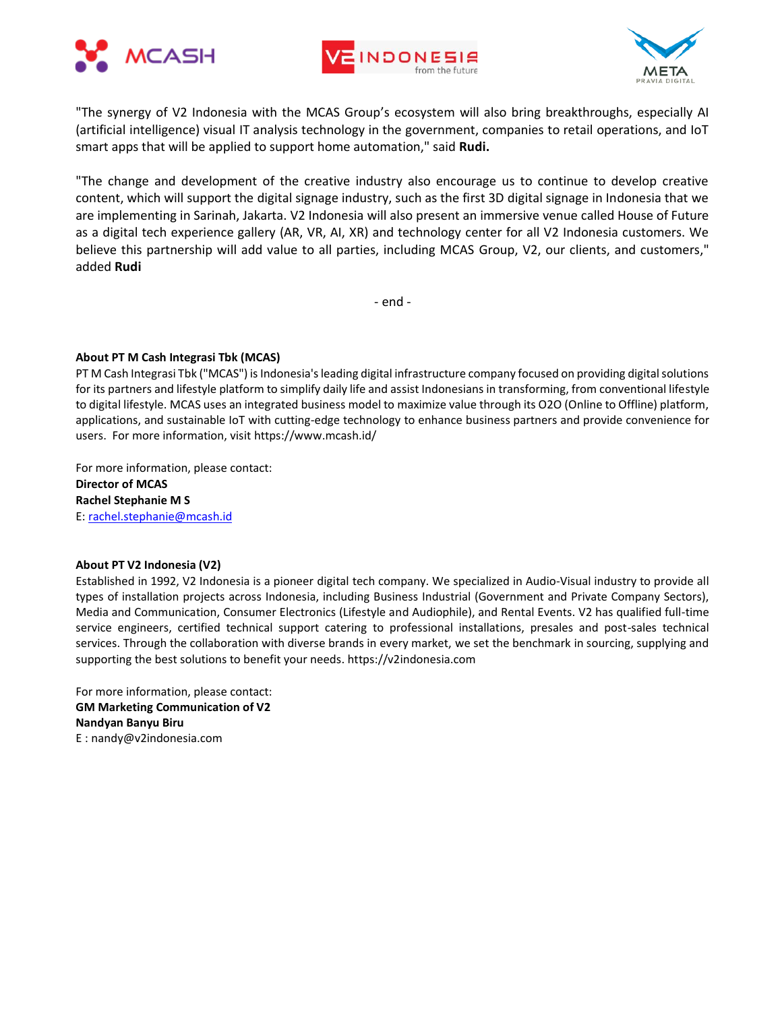





"The synergy of V2 Indonesia with the MCAS Group's ecosystem will also bring breakthroughs, especially AI (artificial intelligence) visual IT analysis technology in the government, companies to retail operations, and IoT smart apps that will be applied to support home automation," said **Rudi.**

"The change and development of the creative industry also encourage us to continue to develop creative content, which will support the digital signage industry, such as the first 3D digital signage in Indonesia that we are implementing in Sarinah, Jakarta. V2 Indonesia will also present an immersive venue called House of Future as a digital tech experience gallery (AR, VR, AI, XR) and technology center for all V2 Indonesia customers. We believe this partnership will add value to all parties, including MCAS Group, V2, our clients, and customers," added **Rudi**

- end -

### **About PT M Cash Integrasi Tbk (MCAS)**

PT M Cash Integrasi Tbk ("MCAS") is Indonesia's leading digital infrastructure company focused on providing digital solutions for its partners and lifestyle platform to simplify daily life and assist Indonesians in transforming, from conventional lifestyle to digital lifestyle. MCAS uses an integrated business model to maximize value through its O2O (Online to Offline) platform, applications, and sustainable IoT with cutting-edge technology to enhance business partners and provide convenience for users. For more information, visit https://www.mcash.id/

For more information, please contact: **Director of MCAS Rachel Stephanie M S** E: [rachel.stephanie@mcash.id](mailto:rachel.stephanie@mcash.id)

### **About PT V2 Indonesia (V2)**

Established in 1992, V2 Indonesia is a pioneer digital tech company. We specialized in Audio-Visual industry to provide all types of installation projects across Indonesia, including Business Industrial (Government and Private Company Sectors), Media and Communication, Consumer Electronics (Lifestyle and Audiophile), and Rental Events. V2 has qualified full-time service engineers, certified technical support catering to professional installations, presales and post-sales technical services. Through the collaboration with diverse brands in every market, we set the benchmark in sourcing, supplying and supporting the best solutions to benefit your needs. https://v2indonesia.com

For more information, please contact: **GM Marketing Communication of V2 Nandyan Banyu Biru** E : nandy@v2indonesia.com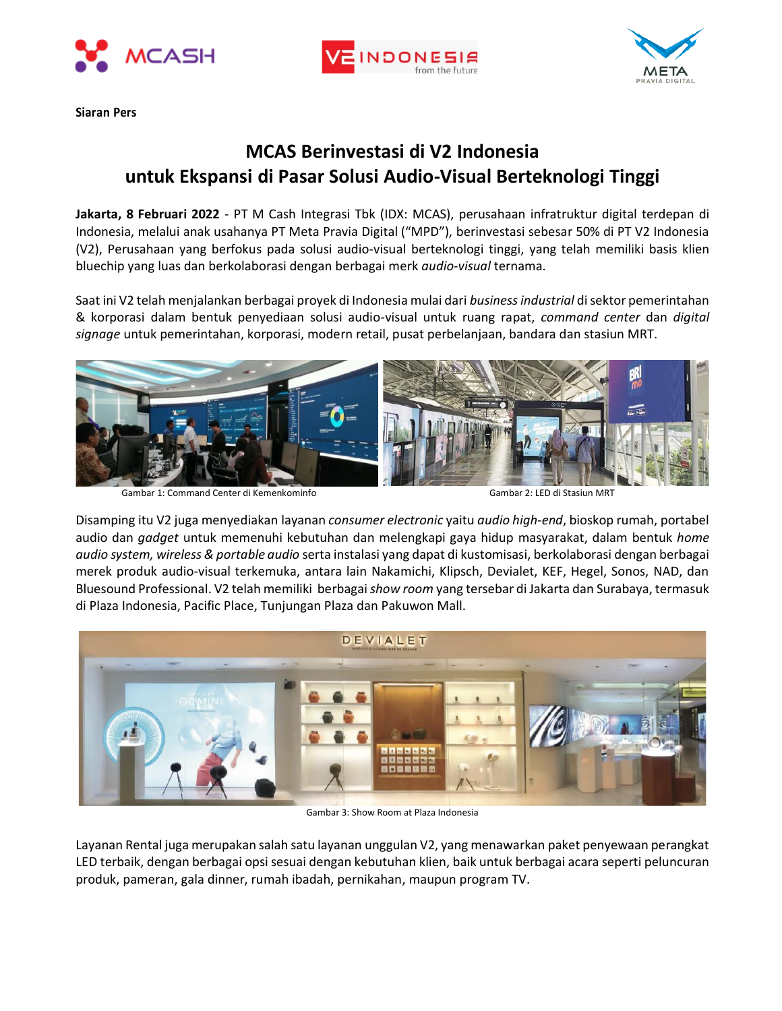





**Siaran Pers**

# **MCAS Berinvestasi di V2 Indonesia untuk Ekspansi di Pasar Solusi Audio-Visual Berteknologi Tinggi**

**Jakarta, 8 Februari 2022** - PT M Cash Integrasi Tbk (IDX: MCAS), perusahaan infratruktur digital terdepan di Indonesia, melalui anak usahanya PT Meta Pravia Digital ("MPD"), berinvestasi sebesar 50% di PT V2 Indonesia (V2), Perusahaan yang berfokus pada solusi audio-visual berteknologi tinggi, yang telah memiliki basis klien bluechip yang luas dan berkolaborasi dengan berbagai merk *audio-visual* ternama.

Saat ini V2 telah menjalankan berbagai proyek di Indonesia mulai dari *business industrial* di sektor pemerintahan & korporasi dalam bentuk penyediaan solusi audio-visual untuk ruang rapat, *command center* dan *digital signage* untuk pemerintahan, korporasi, modern retail, pusat perbelanjaan, bandara dan stasiun MRT.



Gambar 1: Command Center di Kemenkominfo Gambar 2: LED di Stasiun MRT

Disamping itu V2 juga menyediakan layanan *consumer electronic* yaitu *audio high-end*, bioskop rumah, portabel audio dan *gadget* untuk memenuhi kebutuhan dan melengkapi gaya hidup masyarakat, dalam bentuk *home audio system, wireless & portable audio* serta instalasi yang dapat di kustomisasi, berkolaborasi dengan berbagai merek produk audio-visual terkemuka, antara lain Nakamichi, Klipsch, Devialet, KEF, Hegel, Sonos, NAD, dan Bluesound Professional. V2 telah memiliki berbagai *show room* yang tersebar di Jakarta dan Surabaya, termasuk di Plaza Indonesia, Pacific Place, Tunjungan Plaza dan Pakuwon Mall.



Gambar 3: Show Room at Plaza Indonesia

Layanan Rental juga merupakan salah satu layanan unggulan V2, yang menawarkan paket penyewaan perangkat LED terbaik, dengan berbagai opsi sesuai dengan kebutuhan klien, baik untuk berbagai acara seperti peluncuran produk, pameran, gala dinner, rumah ibadah, pernikahan, maupun program TV.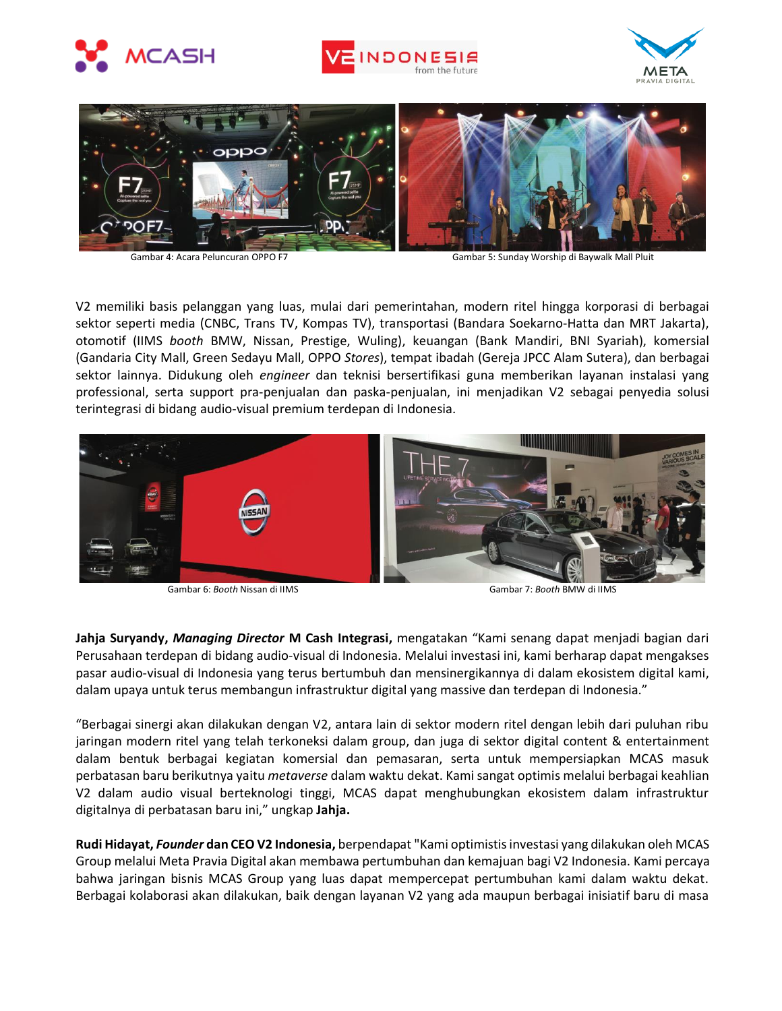







Gambar 4: Acara Peluncuran OPPO F7 Gambar 5: Sunday Worship di Baywalk Mall Pluit

V2 memiliki basis pelanggan yang luas, mulai dari pemerintahan, modern ritel hingga korporasi di berbagai sektor seperti media (CNBC, Trans TV, Kompas TV), transportasi (Bandara Soekarno-Hatta dan MRT Jakarta), otomotif (IIMS *booth* BMW, Nissan, Prestige, Wuling), keuangan (Bank Mandiri, BNI Syariah), komersial (Gandaria City Mall, Green Sedayu Mall, OPPO *Stores*), tempat ibadah (Gereja JPCC Alam Sutera), dan berbagai sektor lainnya. Didukung oleh *engineer* dan teknisi bersertifikasi guna memberikan layanan instalasi yang professional, serta support pra-penjualan dan paska-penjualan, ini menjadikan V2 sebagai penyedia solusi terintegrasi di bidang audio-visual premium terdepan di Indonesia.



Gambar 6: *Booth* Nissan di IIMS **Gambar 7:** *Booth* **BMW di IIMS** Gambar 7: *Booth* BMW di IIMS

**Jahja Suryandy,** *Managing Director* **M Cash Integrasi,** mengatakan "Kami senang dapat menjadi bagian dari Perusahaan terdepan di bidang audio-visual di Indonesia. Melalui investasi ini, kami berharap dapat mengakses pasar audio-visual di Indonesia yang terus bertumbuh dan mensinergikannya di dalam ekosistem digital kami, dalam upaya untuk terus membangun infrastruktur digital yang massive dan terdepan di Indonesia."

"Berbagai sinergi akan dilakukan dengan V2, antara lain di sektor modern ritel dengan lebih dari puluhan ribu jaringan modern ritel yang telah terkoneksi dalam group, dan juga di sektor digital content & entertainment dalam bentuk berbagai kegiatan komersial dan pemasaran, serta untuk mempersiapkan MCAS masuk perbatasan baru berikutnya yaitu *metaverse* dalam waktu dekat. Kami sangat optimis melalui berbagai keahlian V2 dalam audio visual berteknologi tinggi, MCAS dapat menghubungkan ekosistem dalam infrastruktur digitalnya di perbatasan baru ini," ungkap **Jahja.**

**Rudi Hidayat,** *Founder* **dan CEOV2 Indonesia,** berpendapat "Kami optimistis investasi yang dilakukan oleh MCAS Group melalui Meta Pravia Digital akan membawa pertumbuhan dan kemajuan bagi V2 Indonesia. Kami percaya bahwa jaringan bisnis MCAS Group yang luas dapat mempercepat pertumbuhan kami dalam waktu dekat. Berbagai kolaborasi akan dilakukan, baik dengan layanan V2 yang ada maupun berbagai inisiatif baru di masa